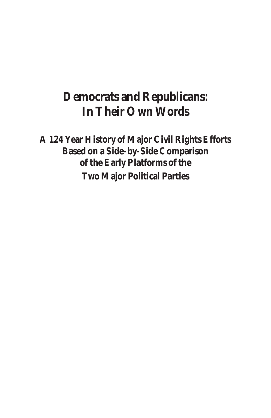## **Democrats and Republicans: In Their Own Words**

**A 124 Year History of Major Civil Rights Efforts Based on a Side-by-Side Comparison of the Early Platforms of the Two Major Political Parties**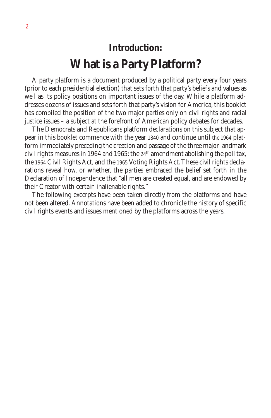# **Introduction: What is a Party Platform?**

A party platform is a document produced by a political party every four years (prior to each presidential election) that sets forth that party's beliefs and values as well as its policy positions on important issues of the day. While a platform addresses dozens of issues and sets forth that party's vision for America, this booklet has compiled the position of the two major parties only on civil rights and racial justice issues – a subject at the forefront of American policy debates for decades.

The Democrats and Republicans platform declarations on this subject that appear in this booklet commence with the year 1840 and continue until the 1964 platform immediately preceding the creation and passage of the three major landmark civil rights measures in 1964 and 1965: the  $24<sup>th</sup>$  amendment abolishing the poll tax, the 1964 Civil Rights Act, and the 1965 Voting Rights Act. These civil rights declarations reveal how, or whether, the parties embraced the belief set forth in the Declaration of Independence that "all men are created equal, and are endowed by their Creator with certain inalienable rights."

The following excerpts have been taken directly from the platforms and have not been altered. Annotations have been added to chronicle the history of specific civil rights events and issues mentioned by the platforms across the years.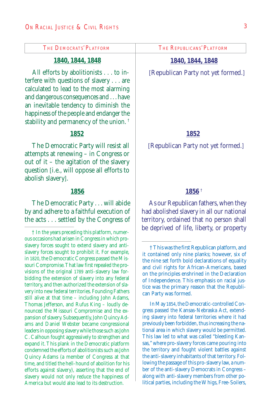#### **1840, 1844, 1848**

All efforts by abolitionists . . . to interfere with questions of slavery . . . are calculated to lead to the most alarming and dangerous consequences and . . . have an inevitable tendency to diminish the happiness of the people and endanger the stability and permanency of the union. †

#### **1852**

The Democratic Party will resist all attempts at renewing – in Congress or out of it – the agitation of the slavery question [i.e., will oppose all efforts to abolish slavery].

#### **1856**

The Democratic Party . . . will abide by and adhere to a faithful execution of the acts . . . settled by the Congress of

#### **1840, 1844, 1848**

[Republican Party not yet formed.]

#### **1852**

[Republican Party not yet formed.]

#### **1856** †

As our Republican fathers, when they had abolished slavery in all our national territory, ordained that no person shall be deprived of life, liberty, or property

In May 1854, the Democratic-controlled Congress passed the Kansas-Nebraska Act, extending slavery into federal territories where it had previously been forbidden, thus increasing the national area in which slavery would be permitted. This law led to what was called "bleeding Kansas," where pro-slavery forces came pouring into the territory and fought violent battles against the anti-slavery inhabitants of that territory. Following the passage of this pro-slavery law, a number of the anti-slavery Democrats in Congress – along with anti-slavery members from other political parties, including the Whigs, Free-Soilers,

<sup>†</sup> In the years preceding this platform, numerous occasions had arisen in Congress in which proslavery forces sought to extend slavery and antislavery forces sought to prohibit it. For example, in 1820, the Democratic Congress passed the Missouri Compromise. That law first repealed the provisions of the original 1789 anti-slavery law forbidding the extension of slavery into any federal territory, and then authorized the extension of slavery into new federal territories. Founding Fathers still alive at that time – including John Adams, Thomas Jefferson, and Rufus King – loudly denounced the Missouri Compromise and the expansion of slavery. Subsequently, John Quincy Adams and Daniel Webster became congressional leaders in opposing slavery while those such as John C. Calhoun fought aggressively to strengthen and expand it. This plank in the Democratic platform condemned the efforts of abolitionists such as John Quincy Adams (a member of Congress at that time, and titled the hell-hound of abolition for his efforts against slavery), asserting that the end of slavery would not only reduce the happiness of America but would also lead to its destruction.

<sup>†</sup> This was the first Republican platform, and it contained only nine planks; however, six of the nine set forth bold declarations of equality and civil rights for African-Americans, based on the principles enshrined in the Declaration of Independence. This emphasis on racial justice was the primary reason that the Republican Party was formed.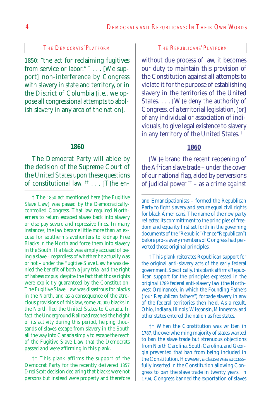1850: "the act for reclaiming fugitives from service or labor." † . . . [We support] non-interference by Congress with slavery in state and territory, or in the District of Columbia [i.e., we oppose all congressional attempts to abolish slavery in any area of the nation].

#### **1860**

The Democrat Party will abide by the decision of the Supreme Court of the United States upon these questions of constitutional law.  $\mathbb{F}$ ... [T]he en-

† The 1850 act mentioned here (the Fugitive Slave Law) was passed by the Democraticallycontrolled Congress. That law required Northerners to return escaped slaves back into slavery or else pay severe and repressive fines. In many instances, the law became little more than an excuse for southern slavehunters to kidnap Free Blacks in the North and force them into slavery in the South. If a black was simply accused of being a slave – regardless of whether he actually was or not – under the Fugitive Slave Law he was denied the benefit of both a jury trial and the right of *habeas corpus,* despite the fact that those rights were explicitly guaranteed by the Constitution. The Fugitive Slave Law was disastrous for blacks in the North, and as a consequence of the atrocious provisions of this law, some 20,000 blacks in the North fled the United States to Canada. In fact, the Underground Railroad reached the height of its activity during this period, helping thousands of slaves escape from slavery in the South all the way into Canada simply to escape the reach of the Fugitive Slave Law that the Democrats passed and were affirming in this plank.

†† This plank affirms the support of the Democrat Party for the recently delivered 1857 *Dred Scott* decision declaring that blacks were not persons but instead were property and therefore

without due process of law, it becomes our duty to maintain this provision of the Constitution against all attempts to violate it for the purpose of establishing slavery in the territories of the United States. . . . [W]e deny the authority of Congress, of a territorial legislation, [or] of any individual or association of individuals, to give legal existence to slavery in any territory of the United States. †

#### **1860**

[W]e brand the recent reopening of the African slave trade – under the cover of our national flag, aided by perversions of judicial power  $\frac{+}{ }$  – as a crime against

† This plank reiterates Republican support for the original anti-slavery acts of the early federal government. Specifically, this plank affirms Republican support for the principles expressed in the original 1789 federal anti-slavery law (the Northwest Ordinance), in which the Founding Fathers ("our Republican fathers") forbade slavery in any of the federal territories then held. As a result, Ohio, Indiana, Illinois, Wisconsin, Minnesota, and other states entered the nation as free states.

†† When the Constitution was written in 1787, the overwhelming majority of states wanted to ban the slave trade but strenuous objections from North Carolina, South Carolina, and Georgia prevented that ban from being included in the Constitution. However, a clause was successfully inserted in the Constitution allowing Congress to ban the slave trade in twenty years. In 1794, Congress banned the exportation of slaves

and Emancipationists – formed the Republican Party to fight slavery and secure equal civil rights for black Americans. The name of the new party reflected its committment to the principles of freedom and equality first set forth in the governing documents of the "Republic" (hence "Republican") before pro-slavery members of Congress had perverted those original principles.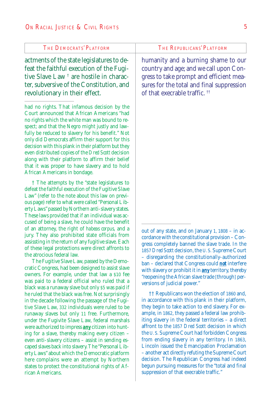actments of the state legislatures to defeat the faithful execution of the Fugitive Slave Law † are hostile in character, subversive of the Constitution, and revolutionary in their effect.

had no rights. That infamous decision by the Court announced that African Americans "had no rights which the white man was bound to respect; and that the Negro might justly and lawfully be reduced to slavery for his benefit." Not only did Democrats affirm their support for this decision with this plank in their platform but they even distributed copies of the *Dred Scott* decision along with their platform to affirm their belief that it was proper to have slavery and to hold African Americans in bondage.

† The attempts by the "state legislatures to defeat the faithful execution of the Fugitive Slave Law" (refer to the note about this law on previous page) refer to what were called "Personal Liberty Laws" passed by Northern anti-slavery states. These laws provided that if an individual was accused of being a slave, he could have the benefit of an attorney, the right of *habeas corpus,* and a jury. They also prohibited state officials from assissting in the return of any fugitive slave. Each of these legal protections were direct affronts to the atrocious federal law.

The Fugitive Slave Law, passed by the Democratic Congress, had been designed to assist slave owners. For example, under that law a \$10 fee was paid to a federal official who ruled that a black was a runaway slave but only \$5 was paid if he ruled that the black was free. Not surprisingly in the decade following the passage of the Fugitive Slave Law, 332 individuals were ruled to be runaway slaves but only 11 free. Furthermore, under the Fugivite Slave Law, federal marshals were authorized to impress *any* citizen into hunting for a slave, thereby making every citizen – even anti-slavery citizens – assist in sending escaped slaves back into slavery. The "Personal Liberty Laws" about which the Democratic platform here complains were an attempt by Northern states to protect the constitutional rights of African Americans.

humanity and a burning shame to our country and age; and we call upon Congress to take prompt and efficient measures for the total and final suppression of that execrable traffic. ††

out of any state, and on January 1, 1808 – in accordance with the constitutional provision – Congress completely banned the slave trade. In the 1857 *Dred Scott* decision, the U. S. Supreme Court – disregarding the constitutionally-authorized ban – declared that Congress could *not* interfere with slavery or prohibit it in *any* territory, thereby "reopening the African slave trade [through] perversions of judicial power."

†† Republicans won the election of 1860 and, in accordance with this plank in their platform, they begin to take action to end slavery. For example, in 1862, they passed a federal law prohibiting slavery in the federal territories – a direct affront to the 1857 *Dred Scott* decision in which the U. S. Supreme Court had forbidden Congress from ending slavery in any territory. In 1863, Lincoln issued the Emancipation Proclamation – another act directly refuting the Supreme Court decision. The Republican Congress had indeed begun pursuing measures for the "total and final suppression of that execrable traffic."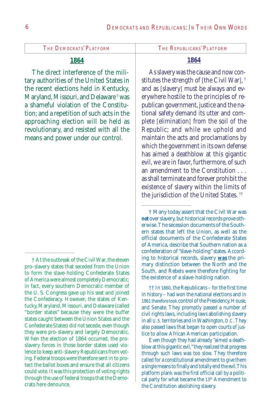#### **1864**

The direct interference of the military authorities of the United States in the recent elections held in Kentucky, Maryland, Missouri, and Delaware † was a shameful violation of the Constitution; and a repetition of such acts in the approaching election will be held as revolutionary, and resisted with all the means and power under our control.

#### **1864**

As slavery was the cause and now constitutes the strength of [the Civil War], † and as [slavery] must be always and everywhere hostile to the principles of republican government, justice and the national safety demand its utter and complete [elimination] from the soil of the Republic; and while we uphold and maintain the acts and proclamations by which the government in its own defense has aimed a deathblow at this gigantic evil, we are in favor, furthermore, of such an amendment to the Constitution as shall terminate and forever prohibit the existence of slavery within the limits of the jurisdiction of the United States.<sup>††</sup>

†† In 1860, the Republicans – for the first time in history – had won the national elections and in 1861 therefore took control of the Presidency, House, and Senate. They promptly passed a number of civil rights laws, including laws abolishing slavery in all U. S. territories and in Washington, D.C.They also passed laws that began to open courts of justice to allow African American participation.

Even though they had already "aimed a deathblow at this gigantic evil," they realized that progress through such laws was too slow. They therefore called for a constitutional amendment to give them a single means to finally and totally end the evil.This platform plank was the first official call by a political party for what became the 13<sup>th</sup> Amendment to the Constitution abolishing slavery.

<sup>†</sup> At the outbreak of the Civil War, the eleven pro-slavery states that seceded from the Union to form the slave-holding Confederate States of America were almost completely Democratic; in fact, every southern Democratic member of the U. S. Congress gave up his seat and joined the Confederacy. However, the states of Kentucky, Maryland, Missouri, and Delaware (called "border states" because they were the buffer states caught between the Union States and the Confederate States) did not secede, even though they were pro-slavery and largely Democratic. When the election of 1864 occurred, the proslavery forces in those border states used violence to keep anti-slavery Republicans from voting. Federal troops were therefore sent in to protect the ballot boxes and ensure that all citizens could vote. It was this protection of voting rights through the use of federal troops that the Democrats here denounce.

<sup>†</sup> Many today assert that the Civil War was *not* over slavery, but historical records prove otherwise. The secession documents of the Southern states that left the Union, as well as the official documents of the Confederate States of America, describe that Southern nation as a confederation of "slave-holding" states. According to historical records, slavery *was* the primary distinction between the North and the South, and Rebels were therefore fighting for the existence of a slave-holding nation.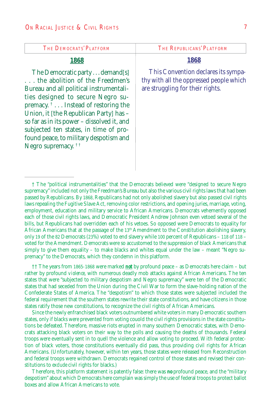| <b>THE DEMOCRATS' PLATFORM</b>                                                                                                                                                                                                                                                                                                                                                                                 | THE REPUBLICANS' PLATFORM                                                                                          |
|----------------------------------------------------------------------------------------------------------------------------------------------------------------------------------------------------------------------------------------------------------------------------------------------------------------------------------------------------------------------------------------------------------------|--------------------------------------------------------------------------------------------------------------------|
| 1868                                                                                                                                                                                                                                                                                                                                                                                                           | 1868                                                                                                               |
| The Democratic party demand [s]<br>the abolition of the Freedmen's<br>Bureau and all political instrumentali-<br>ties designed to secure Negro su-<br>premacy. $\dagger$ Instead of restoring the<br>Union, it [the Republican Party] has -<br>so far as in its power - dissolved it, and<br>subjected ten states, in time of pro-<br>found peace, to military despotism and<br>Negro supremacy. <sup>††</sup> | This Convention declares its sympa-<br>thy with all the oppressed people which<br>are struggling for their rights. |

†† The years from 1865-1868 were marked *not* by profound peace – as Democrats here claim – but rather by profound *violence*, with numerous deadly mob attacks against African Americans. The ten states that were "subjected to military despotism and Negro supremacy" were ten of the Democratic states that had seceded from the Union during the Civil War to form the slave-holding nation of the Confederate States of America. The "despotism" to which those states were subjected included the federal requirement that the southern states rewrite their state constitutions, and have citizens in those states ratify those new constitutions, to recognize the civil rights of African Americans.

Since the newly enfranchised black voters outnumbered white voters in many Democratic southern states, only if blacks were prevented from voting couold the civil rights provisions in the state constitutions be defeated. Therefore, massive riots erupted in many southern Democratic states, with Democrats attacking black voters on their way to the polls and causing the deaths of thousands. Federal troops were eventually sent in to quell the violence and allow voting to proceed. With federal protection of black voters, those constitutions eventually did pass, thus providing civil rights for African Americans. (Unfortunately, however, within ten years, those states were released from Reconstruction and federal troops were withdrawn. Democrats regained control of those states and revised their constitutions to *exclude* civil rights for blacks.)

Therefore, this platform statement is patently false: there was *no* profound peace, and the "military despotism" about which Democrats here complain was simply the use of federal troops to protect ballot boxes and allow African Americans to vote.

<sup>†</sup> The "political instrumentalities" that the Democrats believed were "designed to secure Negro supremacy" included not only the Freedman's Bureau but also the various civil rights laws that had been passed by Republicans. By 1868, Republicans had not only abolished slavery but also passed civil rights laws repealing the Fugitive Slave Act, removing color restrictions, and opening juries, marriage, voting, employment, education and military service to African Americans. Democrats vehemently opposed each of those civil rights laws, and Democratic President Andrew Johnson even vetoed several of the bills, but Republicans had overridden each of his vetoes. So opposed were Democrats to equality for African Americans that at the passage of the 13<sup>th</sup> Amendment to the Constitution abolishing slavery, only 19 of the 82 Democrats (23%) voted to end slavery while 100 percent of Republicans – 118 of 118 – voted for the Amendment. Democrats were so accustomed to the suppression of black Americans that simply to give them equality – to make blacks and whites equal under the law – meant "Negro supremacy" to the Democrats, which they condemn in this platform.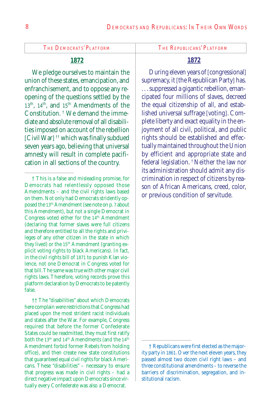### **1872**

We pledge ourselves to maintain the union of these states, emancipation, and enfranchisement, and to oppose any reopening of the questions settled by the 13<sup>th</sup>, 14<sup>th</sup>, and 15<sup>th</sup> Amendments of the Constitution. † We demand the immediate and absolute removal of all disabilities imposed on account of the rebellion [Civil War] †† which was finally subdued seven years ago, believing that universal amnesty will result in complete pacification in all sections of the country.

† This is a false and misleading promise, for Democrats had relentlessly opposed those Amendments – and the civil rights laws based on them. Not only had Democrats stridently opposed the 13th Amendment (see note on p. 7 about this Amendment), but not a single Democrat in Congress voted either for the 14<sup>th</sup> Amendment (declaring that former slaves were full citizens and therefore entitled to all the rights and privileges of any other citizen in the state in which they lived) or the 15<sup>th</sup> Amendment (granting explicit voting rights to black Americans). In fact, in the civil rights bill of 1871 to punish Klan violence, not one Democrat in Congress voted for that bill. The same was true with other major civil rights laws. Therefore, voting records prove this platform declaration by Democrats to be patently false.

†† The "disabilities" about which Democrats here complain were restrictions that Congress had placed upon the most strident racist individuals and states after the War. For example, Congress required that before the former Confederate States could be readmitted, they must first ratify both the 13<sup>th</sup> and 14<sup>th</sup> Amendments (and the 14<sup>th</sup> Amendment forbid former Rebels from holding office), and then create new state constitutions that guaranteed equal civil rights for black Americans. These "disabilities" – necessary to ensure that progress was made in civil rights – had a direct negative impact upon Democrats since virtually every Confederate was also a Democrat.

### **1872**

During eleven years of [congressional] supremacy, it [the Republican Party] has. . . . suppressed a gigantic rebellion, emancipated four millions of slaves, decreed the equal citizenship of all, and established universal suffrage [voting]. Complete liberty and exact equality in the enjoyment of all civil, political, and public rights should be established and effectually maintained throughout the Union by efficient and appropriate state and federal legislation. † Neither the law nor its administration should admit any discrimination in respect of citizens by reason of African Americans, creed, color, or previous condition of servitude.

<sup>†</sup> Republicans were first elected as the majority party in 1861. Over the next eleven years, they passed almost two dozen civil right laws – and three constitutional amendments – to reverse the barriers of discrimination, segregation, and institutional racism.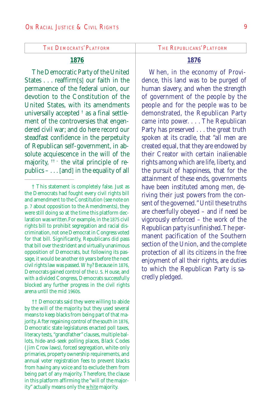#### **1876**

The Democratic Party of the United States . . . reaffirm[s] our faith in the permanence of the federal union, our devotion to the Constitution of the United States, with its amendments universally accepted † as a final settlement of the controversies that engendered civil war; and do here record our steadfast confidence in the perpetuity of Republican self-government, in absolute acquiescence in the will of the majority,  $\uparrow$  + the vital principle of republics – . . . [and] in the equality of all

†† Democrats said they were willing to abide by the will of the majority but they used several means to keep blacks from being part of that majority. After regaining control of the south in 1876, Democratic state legislatures enacted poll taxes, literacy tests, "grandfather" clauses, multiple ballots, hide-and-seek polling places, Black Codes ( Jim Crow laws), forced segregation, white-only primaries, property ownership requirements, and annual voter registration fees to prevent blacks from having any voice and to exclude them from being part of any majority. Therefore, the clause in this platform affirming the "will of the majority" actually means only the *white* majority.

#### **1876**

When, in the economy of Providence, this land was to be purged of human slavery, and when the strength of government of the people by the people and for the people was to be demonstrated, the Republican Party came into power. . . . The Republican Party has preserved . . . the great truth spoken at its cradle, that "all men are created equal, that they are endowed by their Creator with certain inalienable rights among which are life, liberty, and the pursuit of happiness, that for the attainment of these ends, governments have been instituted among men, deriving their just powers from the consent of the governed." Until these truths are cheerfully obeyed – and if need be vigorously enforced – the work of the Republican party is unfinished. The permanent pacification of the Southern section of the Union, and the complete protection of all its citizens in the free enjoyment of all their rights, are duties to which the Republican Party is sacredly pledged.

<sup>†</sup> This statement is completely false. Just as the Democrats had fought every civil rights bill and amendment to the Constitution (see note on p. 7 about opposition to the Amendments), they were still doing so at the time this platform declaration was written.For example, in the 1875 civil rights bill to prohibit segregation and racial discrimination, not one Democrat in Congress voted for that bill. Significantly, Republicans did pass that bill over the strident and virtually unanimous opposition of Democrats, but following its passage, it would be another 69 years before the next civil rights law was passed. Why? Because in 1876, Democrats gained control of the U. S. House, and with a divided Congress, Democrats successfully blocked any further progress in the civil rights arena until the mid 1960s.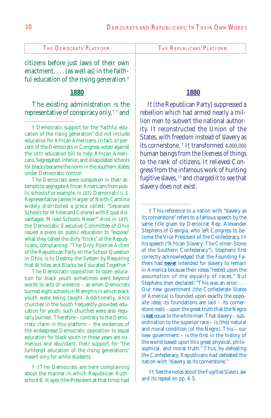citizens before just laws of their own enactment, . . . [as well as] in the faithful education of the rising generation †

#### **1880**

The existing administration is the representative of conspiracy only, † † and

† Democratic support for the "faithful education of the rising generation" did not include education for African Americans. In fact, 87 percent of the Democrats in Congress voted against the 1872 education bill to help African Americans. Segregated, inferior, and dilapidated schools for blacks became the norm in the southern states under Democratic control.

The Democrats were outspoken in their attempts to segregate African Americans from public schools For example, in 1872 Democratic U. S. Representative James Harper of North Carolina widely distributed a piece called: "Separate Schools for Whites and Colored with Equal Advantages; Mixed Schools Never!" And in 1875, the Democratic Executive Committee of Ohio issued a piece on public education to "expose" what they called the dirty "tricks" of the Republicans, complaining: "The Only Positive Action of the Republican Party on the School Question in Ohio, is to Destroy the System by Requiring that Whites and Blacks be Educated Together."

The Democratic opposition to open education for black youth sometimes went beyond words to acts of violence – as when Democrats burned eight schools in Memphis in which black youth were being taught. Additionally, since churches in the South frequently provided education for youth, such churches were also regularly burned . Therefore – contrary to the Democrats' claim in this platform – the evidences of the widespread Democratic opposition to equal education for black youth in those years are numerous and abundant, their support for "the furhtered education of the rising generations" meant only for white students.

† †The Democrats are here complaining about the manner in which Republican Rutherford B. Hayes (the President at that time) had

#### **1880**

It [the Republican Party] suppressed a rebellion which had armed nearly a million men to subvert the national authority. It reconstructed the Union of the States, with freedom instead of slavery as its cornerstone. † It transformed 4,000,000 human beings from the likeness of things to the rank of citizens. It relieved Congress from the infamous work of hunting fugitive slaves, <sup>††</sup> and charged it to see that slavery does not exist.

† This reference to a nation with "slavery as its cornerstone" refers to a famous speech by the same title given by Democrat Rep. Alexander Stephens of Georgia, who left Congress to become the Vice President of the Confederacy. In his speech ("African Slavery: The Corner-Stone of the Southern Confederacy"), Stephens first correctly acknowledged that the Founding Fathers had *never* intended for slavery to remain in America because their ideas "rested upon the assumption of the equality of races." But Stephens then declared: "This was an error. . . . Our new government [the Confederate States of America] is founded upon exactly the opposite idea; its foundations are laid – its cornerstone rests – upon the great truth that the Negro is *not* equal to the white man. That slavery – subordination to the superior race – is [the] natural and moral condition [of the Negro]. This – our new government – is the first in the history of the world based upon this great physical, philosophical, and moral truth." Thus, by defeating the Confederacy, Republicans had defeated the nation with "slavery as its cornerstone."

†† See the notes about the Fugitive Slave Law and its repeal on pp. 4-5.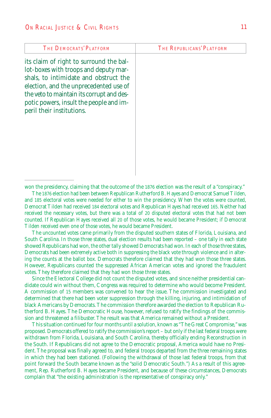| <b>THE DEMOCRATS' PLATFORM</b>                                                                                                                                                                                                                                                           | THE REPUBLICANS' PLATFORM |
|------------------------------------------------------------------------------------------------------------------------------------------------------------------------------------------------------------------------------------------------------------------------------------------|---------------------------|
| its claim of right to surround the bal-<br>lot-boxes with troops and deputy mar-<br>shals, to intimidate and obstruct the<br>election, and the unprecedented use of<br>the veto to maintain its corrupt and des-<br>potic powers, insult the people and im-<br>peril their institutions. |                           |
|                                                                                                                                                                                                                                                                                          |                           |

won the presidency, claiming that the outcome of the 1876 election was the result of a "conspiracy."

The 1876 election had been between Republican Rutherford B. Hayes and Democrat Samuel Tilden, and 185 electoral votes were needed for either to win the presidency. When the votes were counted, Democrat Tilden had received 184 electoral votes and Republican Hayes had received 165. Neither had received the necessary votes, but there was a total of 20 disputed electoral votes that had not been counted. If Republican Hayes received all 20 of those votes, he would became President; if Democrat Tilden received even one of those votes, he would became President.

The uncounted votes came primarily from the disputed southern states of Florida, Louisiana, and South Carolina. In those three states, dual election results had been reported – one tally in each state showed Republicans had won, the other tally showed Democrats had won. In each of those three states, Democrats had been extremely active both in suppressing the black vote through violence and in altering the counts at the ballot box. Democrats therefore claimed that they had won those three states. However, Republicans counted the suppressed African American votes and ignored the fraudulent votes. They therefore claimed that they had won those three states.

Since the Electoral College did not count the disputed votes, and since neither presidential candidate could win without them, Congress was required to determine who would become President. A commission of 15 members was convened to hear the issue. The commission investigated and determined that there had been voter suppression through the killing, injuring, and intimidation of black Americans by Democrats. The commission therefore awarded the election to Republican Rutherford B. Hayes. The Democratic House, however, refused to ratify the findings of the commission and threatened a filibuster. The result was that America remained without a President.

This situation continued for four months until a solution, known as "The Great Compromise," was proposed. Democrats offered to ratify the commission's report – but only if the last federal troops were withdrawn from Florida, Louisiana, and South Carolina, thereby officially ending Reconstruction in the South. If Republicans did not agree to the Democratic proposal, America would have no President. The proposal was finally agreed to, and federal troops departed from the three remaining states in which they had been stationed. (Following the withdrawal of those last federal troops, from that point forward the South became known as the "solid Democratic South.") As a result of this agreement, Rep. Rutherford B. Hayes became President, and because of these circumstances, Democrats complain that "the existing administration is the representative of conspiracy only."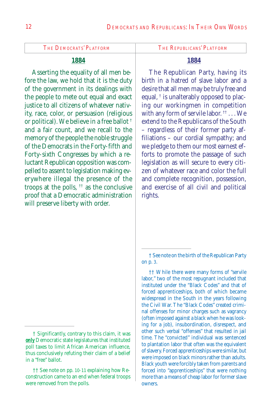#### **1884**

Asserting the equality of all men before the law, we hold that it is the duty of the government in its dealings with the people to mete out equal and exact justice to all citizens of whatever nativity, race, color, or persuasion (religious or political). We believe in a free ballot † and a fair count, and we recall to the memory of the people the noble struggle of the Democrats in the Forty-fifth and Forty-sixth Congresses by which a reluctant Republican opposition was compelled to assent to legislation making everywhere illegal the presence of the troops at the polls,  $\dagger$  as the conclusive proof that a Democratic administration will preserve liberty with order.

#### **1884**

The Republican Party, having its birth in a hatred of slave labor and a desire that all men may be truly free and equal,  $\dagger$  is unalterably opposed to placing our workingmen in competition with any form of servile labor.  $\mathfrak{f}^{\dagger} \dots$  We extend to the Republicans of the South – regardless of their former party affiliations – our cordial sympathy; and we pledge to them our most earnest efforts to promote the passage of such legislation as will secure to every citizen of whatever race and color the full and complete recognition, possession, and exercise of all civil and political rights.

<sup>†</sup> Significantly, contrary to this claim, it was *only* Democratic state legislatures that instituted poll taxes to limit African American influence, thus conclusively refuting their claim of a belief in a "free" ballot.

<sup>††</sup> See note on pp. 10-11 explaining how Reconstruction came to an end when federal troops were removed from the polls.

<sup>†</sup> See note on the birth of the Republican Party on p. 3.

<sup>††</sup> While there were many forms of "servile labor," two of the most repugnant included that instituted under the "Black Codes" and that of forced apprenticeships, both of which became widespread in the South in the years following the Civil War. The "Black Codes" created criminal offenses for minor charges such as vagrancy (often imposed against a black when he was looking for a job), insubordination, disrespect, and other such verbal "offenses" that resulted in jail time. The "convicted" individual was sentenced to plantation labor that often was the equivalent of slavery. Forced apprenticeships were similar, but were imposed on black minors rather than adults. Black youth were forcibly taken from parents and forced into "apprenticeships" that were nothing more than a means of cheap labor for former slave owners.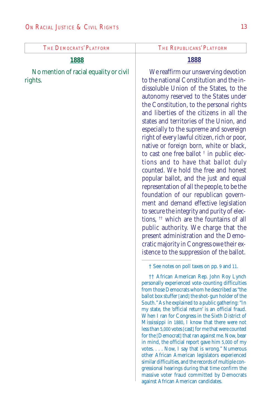#### **1888**

No mention of racial equality or civil rights.

#### **1888**

We reaffirm our unswerving devotion to the national Constitution and the indissoluble Union of the States, to the autonomy reserved to the States under the Constitution, to the personal rights and liberties of the citizens in all the states and territories of the Union, and especially to the supreme and sovereign right of every lawful citizen, rich or poor, native or foreign born, white or black, to cast one free ballot † in public elections and to have that ballot duly counted. We hold the free and honest popular ballot, and the just and equal representation of all the people, to be the foundation of our republican government and demand effective legislation to secure the integrity and purity of elections, †† which are the fountains of all public authority. We charge that the present administration and the Democratic majority in Congress owe their existence to the suppression of the ballot.

† See notes on poll taxes on pp. 9 and 11.

†† African American Rep. John Roy Lynch personally experienced vote-counting difficulties from those Democrats whom he described as "the ballot box stuffer [and] the shot-gun holder of the South." As he explained to a public gathering: "In my state, the 'official return' is an official fraud. When I ran for Congress in the Sixth District of Mississippi in 1880, I know that there were not less than 5,000 votes [cast] for me that were counted for the [Democrat] that ran against me. Now, bear in mind, the official report gave him 5,000 of my votes. . . . Now, I say that is wrong." Numerous other African American legislators experienced similar difficulties, and the records of multiple congressional hearings during that time confirm the massive voter fraud committed by Democrats against African American candidates.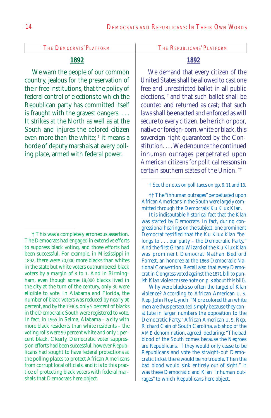### **1892**

We warn the people of our common country, jealous for the preservation of their free institutions, that the policy of federal control of elections to which the Republican party has committed itself is fraught with the gravest dangers. . . . It strikes at the North as well as at the South and injures the colored citizen even more than the white; † it means a horde of deputy marshals at every polling place, armed with federal power.

#### **1892**

We demand that every citizen of the United States shall be allowed to cast one free and unrestricted ballot in all public elections, † and that such ballot shall be counted and returned as cast; that such laws shall be enacted and enforced as will secure to every citizen, be he rich or poor, native or foreign-born, white or black, this sovereign right guaranteed by the Constitution. . . . We denounce the continued inhuman outrages perpetrated upon American citizens for political reasons in certain southern states of the Union. ††

† See the notes on poll taxes on pp. 9, 11 and 13.

It is indisputable historical fact that the Klan was started by Democrats. In fact, during congressional hearings on the subject, one prominent Democrat testified that the Ku Klux Klan "belongs to . . . our party – the Democratic Party." And the first Grand Wizard of the Ku Klux Klan was prominent Democrat Nathan Bedford Forrest, an honoree at the 1868 Democratic National Convention. Recall also that every Democrat in Congress voted against the 1871 bill to punish Klan violence (see note on p. 8 about this bill).

Why were blacks so often the target of Klan violence? According to African American U. S. Rep. John Roy Lynch: "More colored than white men are thus persecuted simply because they constitute in larger numbers the opposition to the Democratic Party." African American U. S. Rep. Richard Cain of South Carolina, a bishop of the AME denomination, agreed, declaring: "The bad blood of the South comes because the Negroes are Republicans. If they would only cease to be Republicans and vote the straight-out Democratic ticket there would be no trouble. Then the bad blood would sink entirely out of sight." It was these Democratic and Klan "inhuman outrages" to which Republicans here object.

<sup>†</sup> This was a completely erroneous assertion. The Democrats had engaged in extensive efforts to suppress black voting, and those efforts had been successful. For example, in Mississippi in 1892, there were 70,000 more blacks than whites in the state but white voters outnumbered black voters by a margin of 8 to 1. And in Birmingham, even though some 18,000 blacks lived in the city at the turn of the century, only 30 were eligible to vote. In Alabama and Florida, the number of black voters was reduced by nearly 90 percent, and by the 1940s, only 5 percent of blacks in the Democratic South were registered to vote. In fact, in 1965 in Selma, Alabama – a city with more black residents than white residents – the voting rolls were 99 percent white and only 1 percent black. Clearly, Democratic voter suppression efforts had been successful, however Republicans had sought to have federal protections at the polling places to protect African Americans from corrupt local officials, and it is to this practice of protecting black voters with federal marshals that Democrats here object.

<sup>††</sup> The "inhuman outrages" perpetuated upon African Americans in the South were largely committed through the Democrats' Ku Klux Klan.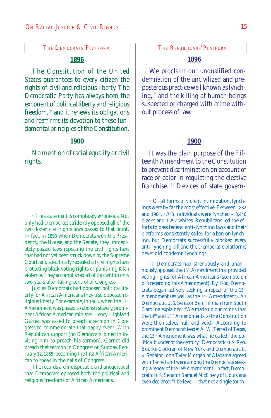#### **1896**

The Constitution of the United States guarantees to every citizen the rights of civil and religious liberty. The Democratic Party has always been the exponent of political liberty and religious freedom, † and it renews its obligations and reaffirms its devotion to these fundamental principles of the Constitution.

#### **1900**

No mention of racial equality or civil rights.

† This statement is completely erroneous. Not only had Democrats stridently opposed *all* of the two dozen civil rights laws passed to that point. In fact, in 1893 when Democrats won the Presidency, the House, and the Senate, they immediately passed laws repealing the civil rights laws that had not yet been struck down by the Supreme Court, and specifically repealed all civil rights laws protecting black voting rights or punishing Klan violence. They accomplished all of this within only two years after taking control of Congress.

Just as Democrats had opposed political liberty for African Americans they also opposed religious liberty. For example, in 1865, when the 13<sup>th</sup> Amendment was passed to abolish slavery, prominent African American minister Henry Highland Garnet was asked to preach a sermon in Congress to commemorate that happy event. With Republican support (no Democrats joined in inviting him to preach his sermon), Garnet did preach that sermon in Congress on Sunday, February 12, 1865, becoming the first African American to speak in the halls of Congress.

The records are indisputable and unequivocal that Democrats opposed both the political and religious freedoms of African Americans.

#### **1896**

We proclaim our unqualified condemnation of the uncivilized and preposterous practice well known as lynching, † and the killing of human beings suspected or charged with crime without process of law.

#### **1900**

It was the plain purpose of the Fifteenth Amendment to the Constitution to prevent discrimination on account of race or color in regulating the elective franchise. †† Devices of state govern-

†† Democrats had strenuously and unanimously opposed the 15<sup>th</sup> Amendment that provided voting rights for African Americans (see note on p. 8 regarding this Amendment). By 1900, Democrats began actively seeking a repeal of the 15<sup>th</sup> Amendment (as well as the 14<sup>th</sup> Amendment). As Democratic U. S. Senator Ben Tillman from South Carolina explained: "We made up our minds that the 14<sup>th</sup> and 15<sup>th</sup> Amendments to the Constitution were themselves null and void." According to prominent Democrat leader A. W. Terrell of Texas, the 15th Amendment was what he called "the political blunder of the century." Democratic U.S. Rep. Bourke Cockran of New York and Democratic U. S. Senator John Tyler Morgan of Alabama agreed with Terrell and were among the Democrats seeking a repeal of the 15<sup>th</sup> Amendment. In fact, Democratic U. S. Senator Samuel McEnery of Louisiana even declared: "I believe . . . that not a single south-

<sup>†</sup> Of all forms of violent intimidation, lynchings were by far the most effective. Between 1882 and 1964, 4,743 individuals were lynched – 3,446 blacks and 1,297 whites. Republicans led the efforts to pass federal anti-lynching laws and their platforms consistently called for a ban on lynching, but Democrats successfully blocked every anti-lynching bill and the Democratic platforms never did condemn lynchings.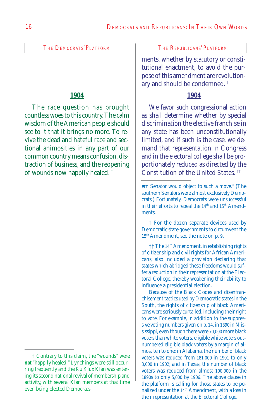|                         | ments whether by statutory or consti |
|-------------------------|--------------------------------------|
| The Democrats' Platform | The Republicans' Platform            |

#### **1904**

The race question has brought countless woes to this country. The calm wisdom of the American people should see to it that it brings no more. To revive the dead and hateful race and sectional animosities in any part of our common country means confusion, distraction of business, and the reopening of wounds now happily healed. †

ents, wnether by statutory or constitutional enactment, to avoid the purpose of this amendment are revolutionary and should be condemned. †

#### **1904**

We favor such congressional action as shall determine whether by special discrimination the elective franchise in any state has been unconstitutionally limited, and if such is the case, we demand that representation in Congress and in the electoral college shall be proportionately reduced as directed by the Constitution of the United States. ††

† For the dozen separate devices used by Democratic state governments to circumvent the 15th Amendment, see the note on p. 9.

†† The 14th Amendment, in establishing rights of citizenship and civil rights for African Americans, also included a provision declaring that states which abridged these freedoms would suffer a reduction in their representation at the Electoral College, thereby weakening their ability to influence a presidential election.

Because of the Black Codes and disenfranchisement tactics used by Democratic states in the South, the rights of citizenship of black Americans were seriously curtailed, including their right to vote. For example, in addition to the suppressive voting numbers given on p. 14, in 1890 in Mississippi, even though there were 70,000 more black voters than white voters, eligible white voters outnumbered eligible black voters by a margin of almost ten to one; in Alabama, the number of black voters was reduced from 181,000 in 1901 to only 3,000 in 1902; and in Texas, the number of black voters was reduced from almost 100,000 in the 1890s to only 5,000 by 1906. The above clause in the platform is calling for those states to be penalized under the 14<sup>th</sup> Amendment, with a loss in their representation at the Electoral College.

<sup>†</sup> Contrary to this claim, the "wounds" were *not* "happily healed." Lynchings were still occurring frequently and the Ku Klux Klan was entering its second national revival of membership and activity, with several Klan members at that time even being elected Democrats.

ern Senator would object to such a move." (The southern Senators were almost exclusively Democrats.) Fortunately, Democrats were unsuccessful in their efforts to repeal the 14<sup>th</sup> and 15<sup>th</sup> Amendments.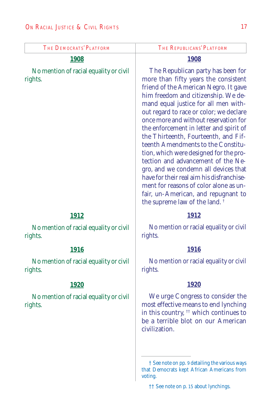| The Democrats' Platform                           | The Republicans' Platform                                                                                                                                                                                                                                                                                                                                                                                                                                                                                                                                                                                                                                                                                         |
|---------------------------------------------------|-------------------------------------------------------------------------------------------------------------------------------------------------------------------------------------------------------------------------------------------------------------------------------------------------------------------------------------------------------------------------------------------------------------------------------------------------------------------------------------------------------------------------------------------------------------------------------------------------------------------------------------------------------------------------------------------------------------------|
| <b>1908</b>                                       | <b>1908</b>                                                                                                                                                                                                                                                                                                                                                                                                                                                                                                                                                                                                                                                                                                       |
| No mention of racial equality or civil<br>rights. | The Republican party has been for<br>more than fifty years the consistent<br>friend of the American Negro. It gave<br>him freedom and citizenship. We de-<br>mand equal justice for all men with-<br>out regard to race or color; we declare<br>once more and without reservation for<br>the enforcement in letter and spirit of<br>the Thirteenth, Fourteenth, and Fif-<br>teenth Amendments to the Constitu-<br>tion, which were designed for the pro-<br>tection and advancement of the Ne-<br>gro, and we condemn all devices that<br>have for their real aim his disfranchise-<br>ment for reasons of color alone as un-<br>fair, un-American, and repugnant to<br>the supreme law of the land. <sup>†</sup> |
| 1912                                              | 1912                                                                                                                                                                                                                                                                                                                                                                                                                                                                                                                                                                                                                                                                                                              |
| No mention of racial equality or civil<br>rights. | No mention or racial equality or civil<br>rights.                                                                                                                                                                                                                                                                                                                                                                                                                                                                                                                                                                                                                                                                 |
| <b>1916</b>                                       | <b>1916</b>                                                                                                                                                                                                                                                                                                                                                                                                                                                                                                                                                                                                                                                                                                       |
| No mention of racial equality or civil<br>rights. | No mention or racial equality or civil<br>rights.                                                                                                                                                                                                                                                                                                                                                                                                                                                                                                                                                                                                                                                                 |
| <u> 1920</u>                                      | <u> 1920</u>                                                                                                                                                                                                                                                                                                                                                                                                                                                                                                                                                                                                                                                                                                      |
| No mention of racial equality or civil<br>rights. | We urge Congress to consider the<br>most effective means to end lynching<br>in this country, <sup>11</sup> which continues to<br>be a terrible blot on our American<br>civilization.                                                                                                                                                                                                                                                                                                                                                                                                                                                                                                                              |
|                                                   | † See note on pp. 9 detailing the various ways<br>that Democrats kept African Americans from<br>voting.<br><sup>†</sup> † See note on p. 15 about lynchings.                                                                                                                                                                                                                                                                                                                                                                                                                                                                                                                                                      |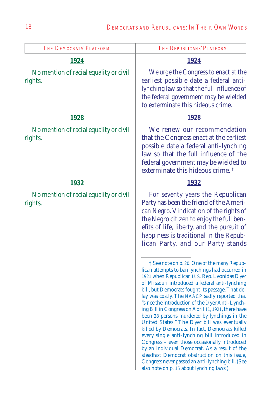| THE DEMOCRATS' PLATFORM                           | The Republicans' Platform                                                                                                                                                                                                                                                                                                                                                                                                                                                                                                                                                                                                                                                                                                                                                                                                                                                                           |
|---------------------------------------------------|-----------------------------------------------------------------------------------------------------------------------------------------------------------------------------------------------------------------------------------------------------------------------------------------------------------------------------------------------------------------------------------------------------------------------------------------------------------------------------------------------------------------------------------------------------------------------------------------------------------------------------------------------------------------------------------------------------------------------------------------------------------------------------------------------------------------------------------------------------------------------------------------------------|
| <u>1924</u>                                       | 1924                                                                                                                                                                                                                                                                                                                                                                                                                                                                                                                                                                                                                                                                                                                                                                                                                                                                                                |
| No mention of racial equality or civil<br>rights. | We urge the Congress to enact at the<br>earliest possible date a federal anti-<br>lynching law so that the full influence of<br>the federal government may be wielded<br>to exterminate this hideous crime. <sup>†</sup>                                                                                                                                                                                                                                                                                                                                                                                                                                                                                                                                                                                                                                                                            |
| <u> 1928 </u>                                     | 1928                                                                                                                                                                                                                                                                                                                                                                                                                                                                                                                                                                                                                                                                                                                                                                                                                                                                                                |
| No mention of racial equality or civil<br>rights. | We renew our recommendation<br>that the Congress enact at the earliest<br>possible date a federal anti-lynching<br>law so that the full influence of the<br>federal government may be wielded to<br>exterminate this hideous crime. <sup>†</sup>                                                                                                                                                                                                                                                                                                                                                                                                                                                                                                                                                                                                                                                    |
| <u> 1932 </u>                                     | 1932                                                                                                                                                                                                                                                                                                                                                                                                                                                                                                                                                                                                                                                                                                                                                                                                                                                                                                |
| No mention of racial equality or civil<br>rights. | For seventy years the Republican<br>Party has been the friend of the Ameri-<br>can Negro. Vindication of the rights of<br>the Negro citizen to enjoy the full ben-<br>efits of life, liberty, and the pursuit of<br>happiness is traditional in the Repub-<br>lican Party, and our Party stands                                                                                                                                                                                                                                                                                                                                                                                                                                                                                                                                                                                                     |
|                                                   | <sup><math>\dagger</math></sup> See note on p. 20. One of the many Repub-<br>lican attempts to ban lynchings had occurred in<br>1921 when Republican U.S. Rep. Leonidas Dyer<br>of Missouri introduced a federal anti-lynching<br>bill, but Democrats fought its passage. That de-<br>lay was costly. The NAACP sadly reported that<br>"since the introduction of the Dyer Anti-Lynch-<br>ing Bill in Congress on April 11, 1921, there have<br>been 28 persons murdered by lynchings in the<br>United States." The Dyer bill was eventually<br>killed by Democrats. In fact, Democrats killed<br>every single anti-lynching bill introduced in<br>Congress – even those occasionally introduced<br>by an individual Democrat. As a result of the<br>steadfast Democrat obstruction on this issue,<br>Congress never passed an anti-lynching bill. (See<br>also note on p. 15 about lynching laws.) |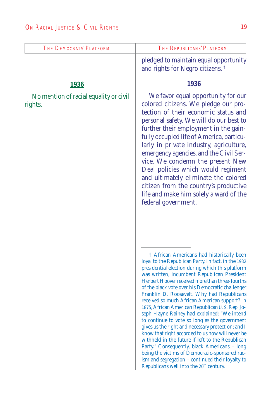| THE DEMOCRATS' PLATFORM                           | The Republicans' Platform                                                                                                                                                                                                                                                                                                                                                                                                                                                                                                                                                                                                                                                                                                                                                                                                                                                                                                                                                                                                                                                                                                                                                                                                                                                                                                                                                                                                                                                                                      |
|---------------------------------------------------|----------------------------------------------------------------------------------------------------------------------------------------------------------------------------------------------------------------------------------------------------------------------------------------------------------------------------------------------------------------------------------------------------------------------------------------------------------------------------------------------------------------------------------------------------------------------------------------------------------------------------------------------------------------------------------------------------------------------------------------------------------------------------------------------------------------------------------------------------------------------------------------------------------------------------------------------------------------------------------------------------------------------------------------------------------------------------------------------------------------------------------------------------------------------------------------------------------------------------------------------------------------------------------------------------------------------------------------------------------------------------------------------------------------------------------------------------------------------------------------------------------------|
|                                                   | pledged to maintain equal opportunity<br>and rights for Negro citizens. <sup>†</sup>                                                                                                                                                                                                                                                                                                                                                                                                                                                                                                                                                                                                                                                                                                                                                                                                                                                                                                                                                                                                                                                                                                                                                                                                                                                                                                                                                                                                                           |
| <b>1936</b>                                       | <b>1936</b>                                                                                                                                                                                                                                                                                                                                                                                                                                                                                                                                                                                                                                                                                                                                                                                                                                                                                                                                                                                                                                                                                                                                                                                                                                                                                                                                                                                                                                                                                                    |
| No mention of racial equality or civil<br>rights. | We favor equal opportunity for our<br>colored citizens. We pledge our pro-<br>tection of their economic status and<br>personal safety. We will do our best to<br>further their employment in the gain-<br>fully occupied life of America, particu-<br>larly in private industry, agriculture,<br>emergency agencies, and the Civil Ser-<br>vice. We condemn the present New<br>Deal policies which would regiment<br>and ultimately eliminate the colored<br>citizen from the country's productive<br>life and make him solely a ward of the<br>federal government.<br>† African Americans had historically been<br>loyal to the Republican Party. In fact, in the 1932<br>presidential election during which this platform<br>was written, incumbent Republican President<br>Herbert Hoover received more than three-fourths<br>of the black vote over his Democratic challenger<br>Franklin D. Roosevelt. Why had Republicans<br>received so much African American support? In<br>1875, African American Republican U.S. Rep. Jo-<br>seph Hayne Rainey had explained: "We intend<br>to continue to vote so long as the government<br>gives us the right and necessary protection; and I<br>know that right accorded to us now will never be<br>withheld in the future if left to the Republican<br>Party." Consequently, black Americans - long<br>being the victims of Democratic-sponsored rac-<br>ism and segregation – continued their loyalty to<br>Republicans well into the 20 <sup>th</sup> century. |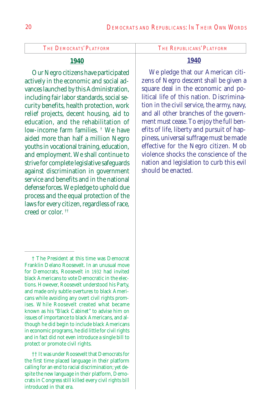#### **1940**

Our Negro citizens have participated actively in the economic and social advances launched by this Administration, including fair labor standards, social security benefits, health protection, work relief projects, decent housing, aid to education, and the rehabilitation of low-income farm families. † We have aided more than half a million Negro youths in vocational training, education, and employment. We shall continue to strive for complete legislative safeguards against discrimination in government service and benefits and in the national defense forces. We pledge to uphold due process and the equal protection of the laws for every citizen, regardless of race, creed or color. ††

#### **1940**

We pledge that our American citizens of Negro descent shall be given a square deal in the economic and political life of this nation. Discrimination in the civil service, the army, navy, and all other branches of the government must cease. To enjoy the full benefits of life, liberty and pursuit of happiness, universal suffrage must be made effective for the Negro citizen. Mob violence shocks the conscience of the nation and legislation to curb this evil should be enacted.

<sup>†</sup> The President at this time was Democrat Franklin Delano Roosevelt. In an unusual move for Democrats, Roosevelt in 1932 had invited black Americans to vote Democratic in the elections. However, Roosevelt understood his Party, and made only subtle overtures to black Americans while avoiding any overt civil rights promises. While Roosevelt created what became known as his "Black Cabinet" to advise him on issues of importance to black Americans, and although he did begin to include black Americans in economic programs, he did little for civil rights and in fact did not even introduce a single bill to protect or promote civil rights.

<sup>††</sup> It was under Roosevelt that Democrats for the first time placed language in their platform calling for an end to racial discrimination; yet despite the new language in their platform, Democrats in Congress still killed every civil rights bill introduced in that era.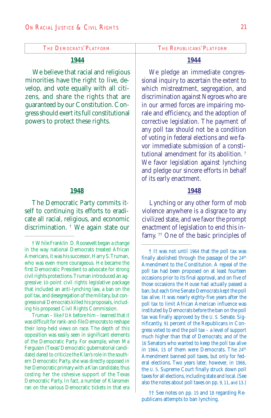#### **1944**

We believe that racial and religious minorities have the right to live, develop, and vote equally with all citizens, and share the rights that are guaranteed by our Constitution. Congress should exert its full constitutional powers to protect these rights.

#### **1948**

The Democratic Party commits itself to continuing its efforts to eradicate all racial, religious, and economic discrimination. † We again state our

Truman – like FDR before him – learned that it was difficult for rank-and-file Democrats to reshape their long-held views on race. The depth of this opposition was easily seen in significant elements of the Democratic Party. For example, when Ma Ferguson (Texas' Democratic gubernatorial candidate) dared to criticize the Klan's role in the southern Democratic Party, she was directly opposed in her Democratic primary with a Klan candidate, thus costing her the cohesive support of the Texas Democratic Party. In fact, a number of Klansmen ran on the various Democratic tickets in that era

#### **1944**

We pledge an immediate congressional inquiry to ascertain the extent to which mistreatment, segregation, and discrimination against Negroes who are in our armed forces are impairing morale and efficiency, and the adoption of corrective legislation. The payment of any poll tax should not be a condition of voting in federal elections and we favor immediate submission of a constitutional amendment for its abolition. † We favor legislation against lynching and pledge our sincere efforts in behalf of its early enactment.

#### **1948**

Lynching or any other form of mob violence anywhere is a disgrace to any civilized state, and we favor the prompt enactment of legislation to end this infamy. †† One of the basic principles of

†† See notes on pp. 15 and 18 regarding Republicans attempts to ban lynching.

<sup>†</sup> While Franklin D. Roosevelt began a change in the way national Democrats treated African Americans, it was his successor, Harry S. Truman, who was even more courageous. He became the first Democratic President to advocate for strong civil rights protections. Truman introduced an aggressive 10-point civil rights legislative package that included an anti-lynching law, a ban on the poll tax, and desegregation of the military, but congressional Democrats killed his proposals, including his proposed Civil Rights Commission.

<sup>†</sup> It was not until 1964 that the poll tax was finally abolished through the passage of the  $24<sup>th</sup>$ Amendment to the Constitution. A repeal of the poll tax had been proposed on at least fourteen occasions prior to its final approval, and on five of those occasions the House had actually passed a ban; but each time Senate Democrats kept the poll tax alive. It was nearly eighty-five years after the poll tax to limit African American influence was instituted by Democrats before the ban on the poll tax was finally approved by the U. S. Senate. Significantly, 91 percent of the Republicans in Congress voted to end the poll tax – a level of support much higher than that of Democrats; and of the 16 Senators who wanted to keep the poll tax alive in 1964, 15 of them were Democrats. The 24<sup>th</sup> Amendment banned poll taxes, but only for federal elections. Two years later, however, in 1966, the U. S. Supreme Court finally struck down poll taxes for all elections, including state and local. (See also the notes about poll taxes on pp. 9, 11, and 13.)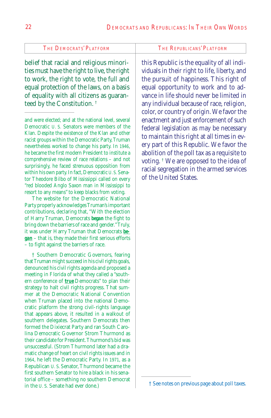belief that racial and religious minorities must have the right to live, the right to work, the right to vote, the full and equal protection of the laws, on a basis of equality with all citizens as guaranteed by the Constitution. †

and were elected; and at the national level, several Democratic U. S. Senators were members of the Klan. Despite the existence of the Klan and other racist groups within the Democratic Party, Truman nevertheless worked to change his party. In 1946, he became the first modern President to institute a comprehensive review of race relations – and not surprisingly, he faced strenuous opposition from within his own party. In fact, Democratic U. S. Senator Theodore Bilbo of Mississippi called on every "red blooded Anglo Saxon man in Mississippi to resort to any means" to keep blacks from voting.

The website for the Democratic National Party properly acknowledges Truman's important contributions, declaring that, "With the election of Harry Truman, Democrats *began* the fight to bring down the barriers of race and gender." Truly, it was under Harry Truman that Democrats *began* – that is, they made their first serious efforts – to fight against the barriers of race.

† Southern Democratic Governors, fearing that Truman might succeed in his civil rights goals, denounced his civil rights agenda and proposed a meeting in Florida of what they called a "southern conference of *true* Democrats" to plan their strategy to halt civil rights progress. That summer at the Democratic National Convention when Truman placed into the national Democratic platform the strong civil-rights language that appears above, it resulted in a walkout of southern delegates. Southern Democrats then formed the Dixiecrat Party and ran South Carolina Democratic Governor Strom Thurmond as their candidate for President. Thurmond's bid was unsuccessful. (Strom Thurmond later had a dramatic change of heart on civil rights issues and in 1964, he left the Democratic Party. In 1971, as a Republican U. S. Senator, Thurmond became the first southern Senator to hire a black in his senatorial office – something no southern Democrat<br>in the U.S. Senate had ever done.)

this Republic is the equality of all individuals in their right to life, liberty, and the pursuit of happiness. This right of equal opportunity to work and to advance in life should never be limited in any individual because of race, religion, color, or country of origin. We favor the enactment and just enforcement of such federal legislation as may be necessary to maintain this right at all times in every part of this Republic. We favor the abolition of the poll tax as a requisite to voting. † We are opposed to the idea of racial segregation in the armed services of the United States.

 $\dagger$  See notes on previous page about poll taxes.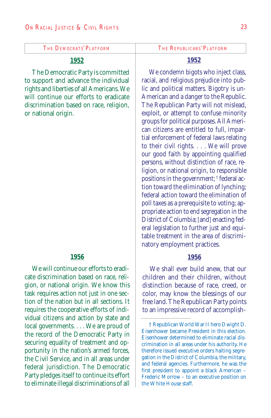#### **1952**

The Democratic Party is committed to support and advance the individual rights and liberties of all Americans. We will continue our efforts to eradicate discrimination based on race, religion, or national origin.

#### **1956**

We will continue our efforts to eradicate discrimination based on race, religion, or national origin. We know this task requires action not just in one section of the nation but in all sections. It requires the cooperative efforts of individual citizens and action by state and local governments. . . . We are proud of the record of the Democratic Party in securing equality of treatment and opportunity in the nation's armed forces, the Civil Service, and in all areas under federal jurisdiction. The Democratic Party pledges itself to continue its effort to eliminate illegal discriminations of all

### **1952**

We condemn bigots who inject class, racial, and religious prejudice into public and political matters. Bigotry is un-American and a danger to the Republic. The Republican Party will not mislead, exploit, or attempt to confuse minority groups for political purposes. All American citizens are entitled to full, impartial enforcement of federal laws relating to their civil rights. . . . We will prove our good faith by appointing qualified persons, without distinction of race, religion, or national origin, to responsible positions in the government; † federal action toward the elimination of lynching; federal action toward the elimination of poll taxes as a prerequisite to voting; appropriate action to end segregation in the District of Columbia; [and] enacting federal legislation to further just and equitable treatment in the area of discriminatory employment practices.

#### **1956**

We shall ever build anew, that our children and their children, without distinction because of race, creed, or color, may know the blessings of our free land. The Republican Party points to an impressive record of accomplish-

<sup>†</sup> Republican World War II hero Dwight D. Eisenhower became President in this election. Eisenhower determined to eliminate racial discrimination in all areas under his authority. He therefore issued executive orders halting segregation in the District of Columbia, the military, and federal agencies. Furthermore, he was the first president to appoint a black American – Frederic Morrow – to an executive position on the White House staff.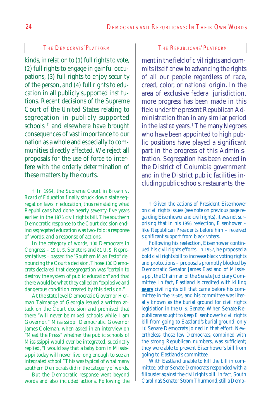kinds, in relation to (1) full rights to vote, (2) full rights to engage in gainful occupations, (3) full rights to enjoy security of the person, and (4) full rights to education in all publicly supported institutions. Recent decisions of the Supreme Court of the United States relating to segregation in publicly supported schools † and elsewhere have brought consequences of vast importance to our nation as a whole and especially to communities directly affected. We reject all proposals for the use of force to interfere with the orderly determination of these matters by the courts.

In the category of words, 100 Democrats in Congress – 19 U. S. Senators and 81 U. S. Representatives – passed the "Southern Manifesto" denouncing the Court's decision. Those 100 Democrats declared that desegregation was "certain to destroy the system of public education" and that there would be what they called an "explosive and dangerous condition created by this decision."

At the state level Democratic Governor Herman Talmadge of Georgia issued a written attack on the Court decision and promised that there "will never be mixed schools while I am Governor." Mississippi Democratic Governor James Coleman, when asked in an interview on "Meet the Press" whether the public schools of Mississippi would ever be integrated, succinctly replied, "I would say that a baby born in Mississippi today will never live long enough to see an integrated school." This was typical of what many southern Democrats did in the category of words.

But the Democratic response went beyond words and also included actions. Following the

ment in the field of civil rights and commits itself anew to advancing the rights of all our people regardless of race, creed, color, or national origin. In the area of exclusive federal jurisdiction, more progress has been made in this field under the present Republican Administration than in any similar period in the last 80 years. † The many Negroes who have been appointed to high public positions have played a significant part in the progress of this Administration. Segregation has been ended in the District of Columbia government and in the District public facilities including public schools, restaurants, the-

Following his reelection, Eisenhower continued his civil rights efforts. In 1957, he proposed a bold civil rights bill to increase black voting rights and protections – proposals promptly blocked by Democratic Senator James Eastland of Mississippi, the Chairman of the Senate Judiciary Committee. In fact, Eastland is credited with killing *every* civil rights bill that came before his committee in the 1950s, and his committee was literally known as the burial ground for civil rights legislation in the U. S. Senate. When Senate Republicans sought to keep Eisenhower's civil rights bill from going to Eastland's burial ground, only 10 Senate Democrats joined in that effort. Nevertheless, those few Democrats, combined with the strong Republican numbers, was sufficient; they were able to prevent Eisenhower's bill from going to Eastland's committee.

With Eastland unable to kill the bill in committee, other Senate Democrats responded with a filibuster against the civil rights bill. In fact, South Carolina's Senator Strom Thurmond, still a Demo-

<sup>†</sup> In 1954, the Supreme Court in *Brown v. Board of Education* finally struck down state segregation laws in education, thus reinstating what Republicans had done nearly seventy-five years earlier in the 1875 civil rights bill. The southern Democratic response to the Court decision ending segregated education was two-fold: a response of words, and a response of actions.

<sup>†</sup> Given the actions of President Eisenhower on civil rights issues (see note on previous page regarding Eisenhower and civil rights), it was not surprising that in his 1956 reelection, Eisenhower – like Republican Presidents before him – received significant support from black voters.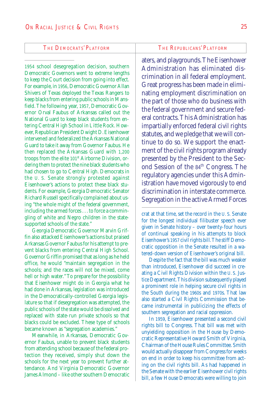1954 school desegregation decision, southern Democratic Governors went to extreme lengths to keep the Court decision from going into effect. For example, in 1956, Democratic Governor Allan Shivers of Texas deployed the Texas Rangers to keep blacks from entering public schools in Mansfield. The following year, 1957, Democratic Governor Orval Faubus of Arkansas called out the National Guard to keep black students from entering Central High School in Little Rock. However, Republican President Dwight D. Eisenhower intervened and federalized the Arkansas National Guard to take it away from Governor Faubus. He then replaced the Arkansas Guard with 1,200 troops from the elite 101<sup>st</sup> Airborne Division, ordering them to protect the nine black students who had chosen to go to Central High. Democrats in the U. S. Senate strongly protested against Eisenhower's actions to protect these black students. For example, Georgia Democratic Senator Richard Russell specifically complained about using "the whole might of the federal government, including the armed forces . . . to force a commingling of white and Negro children in the statesupported schools of the state."

Georgia Democratic Governor Marvin Griffin also attacked Eisenhower's actions but praised Arkansas Governor Faubus for his attempt to prevent blacks from entering Central High School. Governor Griffin promised that as long as he held office, he would "maintain segregation in the schools; and the races will not be mixed, come hell or high water." To prepare for the possibility that Eisenhower might do in Georgia what he had done in Arkansas, legislation was introduced in the Democratically-controlled Georgia legislature so that if desegregation was attempted, the public schools of the state would be dissolved and replaced with state-run private schools so that blacks could be excluded. These type of schools became known as "segregation academies."

Meanwhile, in Arkansas, Democratic Governor Faubus, unable to prevent black students from attending school because of the federal protection they received, simply shut down the schools for the next year to prevent further attendance. And Virginia Democratic Governor James Almond – like other southern Democratic

aters, and playgrounds. The Eisenhower Administration has eliminated discrimination in all federal employment. Great progress has been made in eliminating employment discrimination on the part of those who do business with the federal government and secure federal contracts. This Administration has impartially enforced federal civil rights statutes, and we pledge that we will continue to do so. We support the enactment of the civil rights program already presented by the President to the Second Session of the 84th Congress. The regulatory agencies under this Administration have moved vigorously to end discrimination in interstate commerce. Segregation in the active Armed Forces

Despite the fact that the bill was much weaker than introduced, Eisenhower did succeed in creating a Civil Rights Division within the U. S. Justice Department. This division subsequently played a prominent role in helping secure civil rights in the South during the 1960s and 1970s. That law also started a Civil Rights Commission that became instrumental in publicizing the effects of southern segregation and racial oppression.

In 1959, Eisenhower presented a second civil rights bill to Congress. That bill was met with unyielding opposition in the House by Democratic Representative Howard Smith of Virginia, Chairman of the House Rules Committee. Smith would actually disappear from Congress for weeks on end in order to keep his committee from acting on the civil rights bill. As had happened in the Senate with the earlier Eisenhower civil rights bill, a few House Democrats were willing to join

crat at that time, set the record in the U. S. Senate for the longest individual filibuster speech ever given in Senate history – over twenty-four hours of continual speaking in his attempts to block Eisenhower's 1957 civil rights bill. The stiff Democratic opposition in the Senate resulted in a watered-down version of Eisenhower's original bill.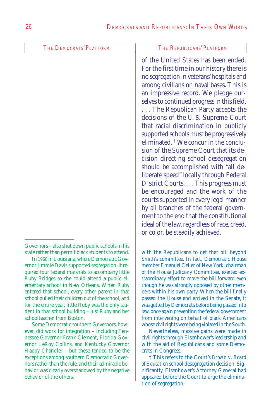| <b>THE DEMOCRATS' PLATFORM</b>                                                                                                                                                                                                                                                                                                                              | THE REPUBLICANS' PLATFORM                                                                                                                                                                                                                                                                                                                                                                                                                                                                                                                                                                                                                                                                                                                                                                                                                                                                                                                                 |
|-------------------------------------------------------------------------------------------------------------------------------------------------------------------------------------------------------------------------------------------------------------------------------------------------------------------------------------------------------------|-----------------------------------------------------------------------------------------------------------------------------------------------------------------------------------------------------------------------------------------------------------------------------------------------------------------------------------------------------------------------------------------------------------------------------------------------------------------------------------------------------------------------------------------------------------------------------------------------------------------------------------------------------------------------------------------------------------------------------------------------------------------------------------------------------------------------------------------------------------------------------------------------------------------------------------------------------------|
|                                                                                                                                                                                                                                                                                                                                                             | of the United States has been ended.<br>For the first time in our history there is<br>no segregation in veterans' hospitals and<br>among civilians on naval bases. This is<br>an impressive record. We pledge our-<br>selves to continued progress in this field.<br>The Republican Party accepts the<br>decisions of the U.S. Supreme Court<br>that racial discrimination in publicly<br>supported schools must be progressively<br>eliminated. <sup>†</sup> We concur in the conclu-<br>sion of the Supreme Court that its de-<br>cision directing school desegregation<br>should be accomplished with "all de-<br>liberate speed" locally through Federal<br>District Courts This progress must<br>be encouraged and the work of the<br>courts supported in every legal manner<br>by all branches of the federal govern-<br>ment to the end that the constitutional<br>ideal of the law, regardless of race, creed,<br>or color, be steadily achieved. |
| Governors - also shut down public schools in his<br>state rather than permit black students to attend.<br>In 1960 in Louisiana, where Democratic Gov-<br>ernor Jimmie Davis supported segregation, it re-<br>quired four federal marshals to accompany little<br>Ruby Bridges so she could attend a public el-<br>ementary school in New Orleans. When Ruby | with the Republicans to get that bill beyond<br>Smith's committee. In fact, Democratic House<br>member Emanuel Celler of New York, chairman<br>of the House Judiciary Committee, exerted ex-<br>traordinary effort to move the bill forward even<br>though he was strongly opposed by other mem-                                                                                                                                                                                                                                                                                                                                                                                                                                                                                                                                                                                                                                                          |

entered that school, every other parent in that school pulled their children out of the school, and for the entire year, little Ruby was the only student in that school building – just Ruby and her schoolteacher from Boston.

Some Democratic southern Governors, however, did work for integration – including Tennessee Governor Frank Clement, Florida Governor LeRoy Collins, and Kentucky Governor Happy Chandler – but these tended to be the exceptions among southern Democratic Governors rather than the rule, and their admirable behavior was clearly overshadowed by the negative behavior of the others.

Nevertheless, massive gains were made in civil rights through Eisenhower's leadership and with the aid of Republicans and some Democrats in Congress.

† This refers to the Court's *Brown v. Board of Education* school desegregation decision. Significantly, Eisenhower's Attorney General had appeared before the Court to urge the elimination of segregation.

bers within his own party. When the bill finally passed the House and arrived in the Senate, it was gutted by Democrats before being passed into law, once again preventing the federal government from intervening on behalf of black Americans whose civil rights were being violated in the South.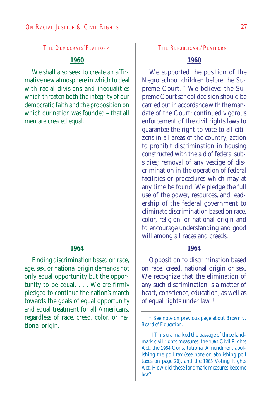#### **1960**

We shall also seek to create an affirmative new atmosphere in which to deal with racial divisions and inequalities which threaten both the integrity of our democratic faith and the proposition on which our nation was founded – that all men are created equal.

#### **1964**

Ending discrimination based on race, age, sex, or national origin demands not only equal opportunity but the opportunity to be equal. . . . We are firmly pledged to continue the nation's march towards the goals of equal opportunity and equal treatment for all Americans, regardless of race, creed, color, or national origin.

#### **1960**

We supported the position of the Negro school children before the Supreme Court. † We believe: the Supreme Court school decision should be carried out in accordance with the mandate of the Court; continued vigorous enforcement of the civil rights laws to guarantee the right to vote to all citizens in all areas of the country; action to prohibit discrimination in housing constructed with the aid of federal subsidies; removal of any vestige of discrimination in the operation of federal facilities or procedures which may at any time be found. We pledge the full use of the power, resources, and leadership of the federal government to eliminate discrimination based on race, color, religion, or national origin and to encourage understanding and good will among all races and creeds.

#### **1964**

Opposition to discrimination based on race, creed, national origin or sex. We recognize that the elimination of any such discrimination is a matter of heart, conscience, education, as well as of equal rights under law. ††

<sup>†</sup> See note on previous page about *Brown v. Board of Education.*

<sup>††</sup>This era marked the passage of three landmark civil rights measures: the 1964 Civil Rights Act, the 1964 Constitutional Amendment abolishing the poll tax (see note on abolishing poll taxes on page 20), and the 1965 Voting Rights Act. How did these landmark measures become law?